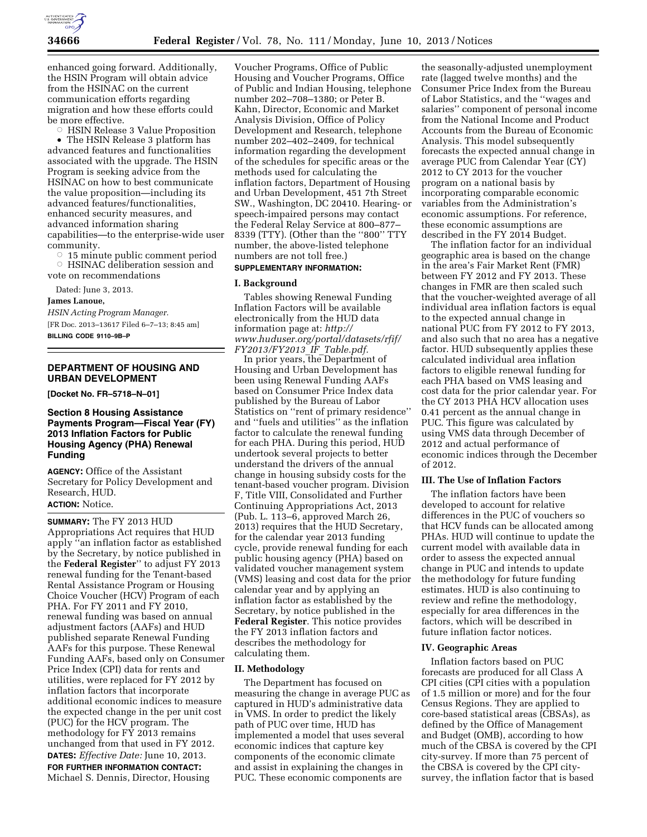

enhanced going forward. Additionally, the HSIN Program will obtain advice from the HSINAC on the current communication efforts regarding migration and how these efforts could be more effective.

**EX HSIN Release 3 Value Proposition** • The HSIN Release 3 platform has advanced features and functionalities associated with the upgrade. The HSIN Program is seeking advice from the HSINAC on how to best communicate the value proposition—including its advanced features/functionalities, enhanced security measures, and advanced information sharing capabilities—to the enterprise-wide user community.

Æ 15 minute public comment period Æ HSINAC deliberation session and vote on recommendations

Dated: June 3, 2013.

#### **James Lanoue,**

*HSIN Acting Program Manager.*  [FR Doc. 2013–13617 Filed 6–7–13; 8:45 am] **BILLING CODE 9110–9B–P** 

## **DEPARTMENT OF HOUSING AND URBAN DEVELOPMENT**

**[Docket No. FR–5718–N–01]** 

## **Section 8 Housing Assistance Payments Program—Fiscal Year (FY) 2013 Inflation Factors for Public Housing Agency (PHA) Renewal Funding**

**AGENCY:** Office of the Assistant Secretary for Policy Development and Research, HUD. **ACTION:** Notice.

**SUMMARY:** The FY 2013 HUD Appropriations Act requires that HUD apply ''an inflation factor as established by the Secretary, by notice published in the **Federal Register**'' to adjust FY 2013 renewal funding for the Tenant-based Rental Assistance Program or Housing Choice Voucher (HCV) Program of each PHA. For FY 2011 and FY 2010, renewal funding was based on annual adjustment factors (AAFs) and HUD published separate Renewal Funding AAFs for this purpose. These Renewal Funding AAFs, based only on Consumer Price Index (CPI) data for rents and utilities, were replaced for FY 2012 by inflation factors that incorporate additional economic indices to measure the expected change in the per unit cost (PUC) for the HCV program. The methodology for FY 2013 remains unchanged from that used in FY 2012. **DATES:** *Effective Date:* June 10, 2013. **FOR FURTHER INFORMATION CONTACT:**  Michael S. Dennis, Director, Housing

Voucher Programs, Office of Public Housing and Voucher Programs, Office of Public and Indian Housing, telephone number 202–708–1380; or Peter B. Kahn, Director, Economic and Market Analysis Division, Office of Policy Development and Research, telephone number 202–402–2409, for technical information regarding the development of the schedules for specific areas or the methods used for calculating the inflation factors, Department of Housing and Urban Development, 451 7th Street SW., Washington, DC 20410. Hearing- or speech-impaired persons may contact the Federal Relay Service at 800–877– 8339 (TTY). (Other than the ''800'' TTY number, the above-listed telephone numbers are not toll free.)

# **SUPPLEMENTARY INFORMATION:**

## **I. Background**

Tables showing Renewal Funding Inflation Factors will be available electronically from the HUD data information page at: *[http://](http://www.huduser.org/portal/datasets/rfif/FY2013/FY2013_IF_Table.pdf)  [www.huduser.org/portal/datasets/rfif/](http://www.huduser.org/portal/datasets/rfif/FY2013/FY2013_IF_Table.pdf)  [FY2013/FY2013](http://www.huduser.org/portal/datasets/rfif/FY2013/FY2013_IF_Table.pdf)*\_*IF*\_*Table.pdf.* 

In prior years, the Department of Housing and Urban Development has been using Renewal Funding AAFs based on Consumer Price Index data published by the Bureau of Labor Statistics on "rent of primary residence" and ''fuels and utilities'' as the inflation factor to calculate the renewal funding for each PHA. During this period, HUD undertook several projects to better understand the drivers of the annual change in housing subsidy costs for the tenant-based voucher program. Division F, Title VIII, Consolidated and Further Continuing Appropriations Act, 2013 (Pub. L. 113–6, approved March 26, 2013) requires that the HUD Secretary, for the calendar year 2013 funding cycle, provide renewal funding for each public housing agency (PHA) based on validated voucher management system (VMS) leasing and cost data for the prior calendar year and by applying an inflation factor as established by the Secretary, by notice published in the **Federal Register**. This notice provides the FY 2013 inflation factors and describes the methodology for calculating them.

#### **II. Methodology**

The Department has focused on measuring the change in average PUC as captured in HUD's administrative data in VMS. In order to predict the likely path of PUC over time, HUD has implemented a model that uses several economic indices that capture key components of the economic climate and assist in explaining the changes in PUC. These economic components are

the seasonally-adjusted unemployment rate (lagged twelve months) and the Consumer Price Index from the Bureau of Labor Statistics, and the ''wages and salaries'' component of personal income from the National Income and Product Accounts from the Bureau of Economic Analysis. This model subsequently forecasts the expected annual change in average PUC from Calendar Year (CY) 2012 to CY 2013 for the voucher program on a national basis by incorporating comparable economic variables from the Administration's economic assumptions. For reference, these economic assumptions are described in the FY 2014 Budget.

The inflation factor for an individual geographic area is based on the change in the area's Fair Market Rent (FMR) between FY 2012 and FY 2013. These changes in FMR are then scaled such that the voucher-weighted average of all individual area inflation factors is equal to the expected annual change in national PUC from FY 2012 to FY 2013, and also such that no area has a negative factor. HUD subsequently applies these calculated individual area inflation factors to eligible renewal funding for each PHA based on VMS leasing and cost data for the prior calendar year. For the CY 2013 PHA HCV allocation uses 0.41 percent as the annual change in PUC. This figure was calculated by using VMS data through December of 2012 and actual performance of economic indices through the December of 2012.

#### **III. The Use of Inflation Factors**

The inflation factors have been developed to account for relative differences in the PUC of vouchers so that HCV funds can be allocated among PHAs. HUD will continue to update the current model with available data in order to assess the expected annual change in PUC and intends to update the methodology for future funding estimates. HUD is also continuing to review and refine the methodology, especially for area differences in the factors, which will be described in future inflation factor notices.

#### **IV. Geographic Areas**

Inflation factors based on PUC forecasts are produced for all Class A CPI cities (CPI cities with a population of 1.5 million or more) and for the four Census Regions. They are applied to core-based statistical areas (CBSAs), as defined by the Office of Management and Budget (OMB), according to how much of the CBSA is covered by the CPI city-survey. If more than 75 percent of the CBSA is covered by the CPI citysurvey, the inflation factor that is based